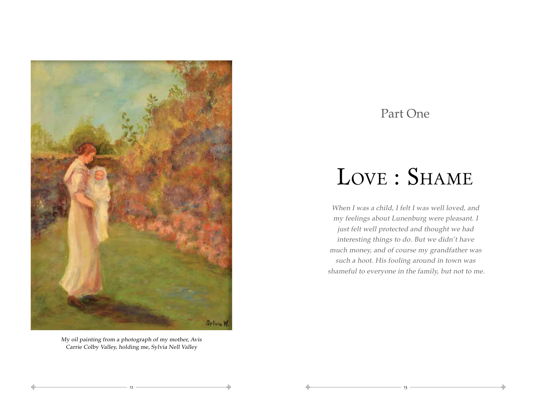

My oil painting from a photograph of my mother, Avis Carrie Colby Valley, holding me, Sylvia Nell Valley

13 <del>جگہ میں اس کی باہل کیا جگہ میں اس کی باہ کرنے کے باہ کیا جگہ کیا جاتا ہے ۔ ان کے باہ کرنے کے باہر کی کہا ج</del> ⊰⇒

Ę

## Part One

## LOVE : SHAME

When I was a child, I felt I was well loved, and my feelings about Lunenburg were pleasant. I just felt well protected and thought we had interesting things to do. But we didn't have much money, and of course my grandfather was such a hoot. His fooling around in town was shameful to everyone in the family, but not to me.

⊰⇒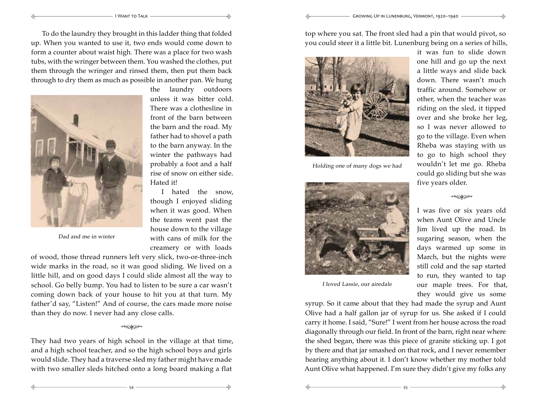I Want to Talk Growing Up in Lunenburg, Vermont, 1920–1940

To do the laundry they brought in this ladder thing that folded up. When you wanted to use it, two ends would come down to form a counter about waist high. There was a place for two wash tubs, with the wringer between them. You washed the clothes, put them through the wringer and rinsed them, then put them back through to dry them as much as possible in another pan. We hung



Ę

Ę

Dad and me in winter

of wood, those thread runners left very slick, two-or-three-inch wide marks in the road, so it was good sliding. We lived on a little hill, and on good days I could slide almost all the way to school. Go belly bump. You had to listen to be sure a car wasn't coming down back of your house to hit you at that turn. My father'd say, "Listen!" And of course, the cars made more noise than they do now. I never had any close calls.

## \*\*ು<del>ಹಿ</del>

They had two years of high school in the village at that time, and a high school teacher, and so the high school boys and girls would slide. They had a traverse sled my father might have made with two smaller sleds hitched onto a long board making a flat

top where you sat. The front sled had a pin that would pivot, so you could steer it a little bit. Lunenburg being on a series of hills,



Ę

Holding one of many dogs we had



I loved Lassie, our airedale

54 55

Ę

⊰⇒

it was fun to slide down one hill and go up the next a little ways and slide back down. There wasn't much traffic around. Somehow or other, when the teacher was riding on the sled, it tipped over and she broke her leg, so I was never allowed to go to the village. Even when Rheba was staying with us to go to high school they wouldn't let me go. Rheba could go sliding but she was five years older.

⊰⇒

## \*\*\*\*\*\*\*\*\*\*

I was five or six years old when Aunt Olive and Uncle Jim lived up the road. In sugaring season, when the days warmed up some in March, but the nights were still cold and the sap started to run, they wanted to tap our maple trees. For that, they would give us some

⊰⇒

syrup. So it came about that they had made the syrup and Aunt Olive had a half gallon jar of syrup for us. She asked if I could carry it home. I said, "Sure!" I went from her house across the road diagonally through our field. In front of the barn, right near where the shed began, there was this piece of granite sticking up. I got by there and that jar smashed on that rock, and I never remember hearing anything about it. I don't know whether my mother told Aunt Olive what happened. I'm sure they didn't give my folks any

the laundry outdoors unless it was bitter cold.

front of the barn between the barn and the road. My father had to shovel a path to the barn anyway. In the winter the pathways had probably a foot and a half rise of snow on either side.

I hated the snow, though I enjoyed sliding when it was good. When the teams went past the

with cans of milk for the creamery or with loads

⊰⇒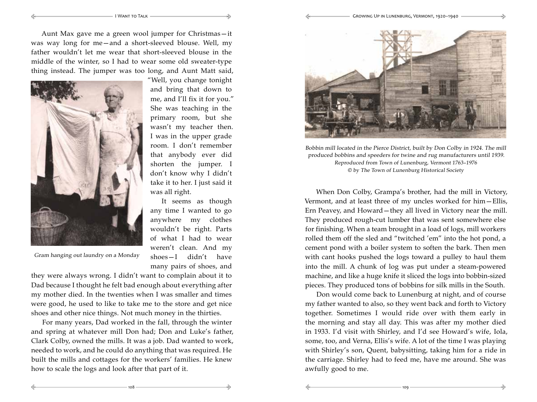I Want to Talk Growing Up in Lunenburg, Vermont, 1920–1940

⊰⇒

⊰⇒

Aunt Max gave me a green wool jumper for Christmas—it was way long for me—and a short-sleeved blouse. Well, my father wouldn't let me wear that short-sleeved blouse in the middle of the winter, so I had to wear some old sweater-type thing instead. The jumper was too long, and Aunt Matt said,



Ę

Ę

Gram hanging out laundry on a Monday

"Well, you change tonight and bring that down to me, and I'll fix it for you." She was teaching in the primary room, but she wasn't my teacher then. I was in the upper grade room. I don't remember that anybody ever did shorten the jumper. I don't know why I didn't take it to her. I just said it was all right.

It seems as though any time I wanted to go anywhere my clothes wouldn't be right. Parts of what I had to wear weren't clean. And my shoes—I didn't have many pairs of shoes, and

108 109

Ę

⊰⇒

they were always wrong. I didn't want to complain about it to Dad because I thought he felt bad enough about everything after my mother died. In the twenties when I was smaller and times were good, he used to like to take me to the store and get nice shoes and other nice things. Not much money in the thirties.

For many years, Dad worked in the fall, through the winter and spring at whatever mill Don had; Don and Luke's father, Clark Colby, owned the mills. It was a job. Dad wanted to work, needed to work, and he could do anything that was required. He built the mills and cottages for the workers' families. He knew how to scale the logs and look after that part of it.



Bobbin mill located in the Pierce District, built by Don Colby in 1924. The mill produced bobbins and speeders for twine and rug manufacturers until 1939. Reproduced from Town of Lunenburg, Vermont 1763–1976 © by The Town of Lunenburg Historical Society

When Don Colby, Grampa's brother, had the mill in Victory, Vermont, and at least three of my uncles worked for him—Ellis, Ern Peavey, and Howard—they all lived in Victory near the mill. They produced rough-cut lumber that was sent somewhere else for finishing. When a team brought in a load of logs, mill workers rolled them off the sled and "twitched 'em" into the hot pond, a cement pond with a boiler system to soften the bark. Then men with cant hooks pushed the logs toward a pulley to haul them into the mill. A chunk of log was put under a steam-powered machine, and like a huge knife it sliced the logs into bobbin-sized pieces. They produced tons of bobbins for silk mills in the South.

Don would come back to Lunenburg at night, and of course my father wanted to also, so they went back and forth to Victory together. Sometimes I would ride over with them early in the morning and stay all day. This was after my mother died in 1933. I'd visit with Shirley, and I'd see Howard's wife, Iola, some, too, and Verna, Ellis's wife. A lot of the time I was playing with Shirley's son, Quent, babysitting, taking him for a ride in the carriage. Shirley had to feed me, have me around. She was awfully good to me.

⊰⇒

Ę